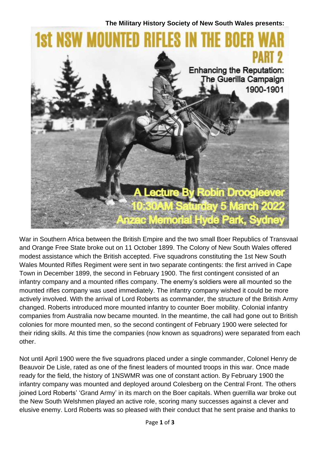

War in Southern Africa between the British Empire and the two small Boer Republics of Transvaal and Orange Free State broke out on 11 October 1899. The Colony of New South Wales offered modest assistance which the British accepted. Five squadrons constituting the 1st New South Wales Mounted Rifles Regiment were sent in two separate contingents: the first arrived in Cape Town in December 1899, the second in February 1900. The first contingent consisted of an infantry company and a mounted rifles company. The enemy's soldiers were all mounted so the mounted rifles company was used immediately. The infantry company wished it could be more actively involved. With the arrival of Lord Roberts as commander, the structure of the British Army changed. Roberts introduced more mounted infantry to counter Boer mobility. Colonial infantry companies from Australia now became mounted. In the meantime, the call had gone out to British colonies for more mounted men, so the second contingent of February 1900 were selected for their riding skills. At this time the companies (now known as squadrons) were separated from each other.

Not until April 1900 were the five squadrons placed under a single commander, Colonel Henry de Beauvoir De Lisle, rated as one of the finest leaders of mounted troops in this war. Once made ready for the field, the history of 1NSWMR was one of constant action. By February 1900 the infantry company was mounted and deployed around Colesberg on the Central Front. The others joined Lord Roberts' 'Grand Army' in its march on the Boer capitals. When guerrilla war broke out the New South Welshmen played an active role, scoring many successes against a clever and elusive enemy. Lord Roberts was so pleased with their conduct that he sent praise and thanks to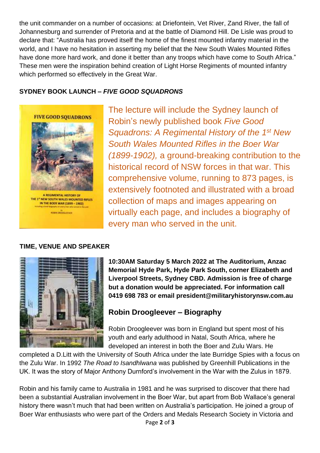the unit commander on a number of occasions: at Driefontein, Vet River, Zand River, the fall of Johannesburg and surrender of Pretoria and at the battle of Diamond Hill. De Lisle was proud to declare that: "Australia has proved itself the home of the finest mounted infantry material in the world, and I have no hesitation in asserting my belief that the New South Wales Mounted Rifles have done more hard work, and done it better than any troops which have come to South Africa." These men were the inspiration behind creation of Light Horse Regiments of mounted infantry which performed so effectively in the Great War.

## **SYDNEY BOOK LAUNCH –** *FIVE GOOD SQUADRONS*



The lecture will include the Sydney launch of Robin's newly published book *Five Good Squadrons: A Regimental History of the 1st New South Wales Mounted Rifles in the Boer War (1899-1902),* a ground-breaking contribution to the historical record of NSW forces in that war. This comprehensive volume, running to 873 pages, is extensively footnoted and illustrated with a broad collection of maps and images appearing on virtually each page, and includes a biography of every man who served in the unit.

## **TIME, VENUE AND SPEAKER**



**10:30AM Saturday 5 March 2022 at The Auditorium, Anzac Memorial Hyde Park, Hyde Park South, corner Elizabeth and Liverpool Streets, Sydney CBD. Admission is free of charge but a donation would be appreciated. For information call 0419 698 783 or email [president@militaryhistorynsw.com.au](mailto:president@militaryhistorynsw.com.au)**

## **Robin Droogleever – Biography**

Robin Droogleever was born in England but spent most of his youth and early adulthood in Natal, South Africa, where he developed an interest in both the Boer and Zulu Wars. He

completed a D.Litt with the University of South Africa under the late Burridge Spies with a focus on the Zulu War. In 1992 *The Road to Isandhlwana* was published by Greenhill Publications in the UK. It was the story of Major Anthony Durnford's involvement in the War with the Zulus in 1879.

Page **2** of **3** Robin and his family came to Australia in 1981 and he was surprised to discover that there had been a substantial Australian involvement in the Boer War, but apart from Bob Wallace's general history there wasn't much that had been written on Australia's participation. He joined a group of Boer War enthusiasts who were part of the Orders and Medals Research Society in Victoria and